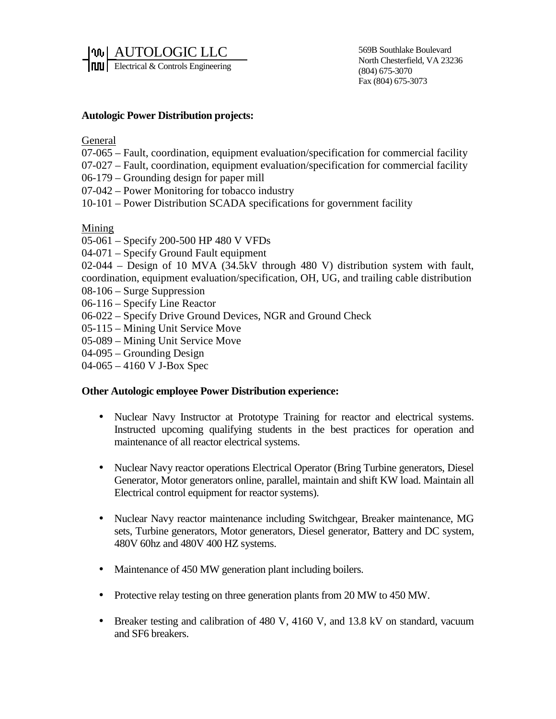AUTOLOGIC LLC **FILTU** Electrical & Controls Engineering

569B Southlake Boulevard North Chesterfield, VA 23236 (804) 675-3070 Fax (804) 675-3073

## **Autologic Power Distribution projects:**

General

- 07-065 Fault, coordination, equipment evaluation/specification for commercial facility
- 07-027 Fault, coordination, equipment evaluation/specification for commercial facility
- 06-179 Grounding design for paper mill
- 07-042 Power Monitoring for tobacco industry
- 10-101 Power Distribution SCADA specifications for government facility

Mining

- 05-061 Specify 200-500 HP 480 V VFDs
- 04-071 Specify Ground Fault equipment
- 02-044 Design of 10 MVA (34.5kV through 480 V) distribution system with fault, coordination, equipment evaluation/specification, OH, UG, and trailing cable distribution
- 08-106 Surge Suppression
- 06-116 Specify Line Reactor
- 06-022 Specify Drive Ground Devices, NGR and Ground Check
- 05-115 Mining Unit Service Move
- 05-089 Mining Unit Service Move
- 04-095 Grounding Design
- 04-065 4160 V J-Box Spec

## **Other Autologic employee Power Distribution experience:**

- Nuclear Navy Instructor at Prototype Training for reactor and electrical systems. Instructed upcoming qualifying students in the best practices for operation and maintenance of all reactor electrical systems.
- Nuclear Navy reactor operations Electrical Operator (Bring Turbine generators, Diesel Generator, Motor generators online, parallel, maintain and shift KW load. Maintain all Electrical control equipment for reactor systems).
- Nuclear Navy reactor maintenance including Switchgear, Breaker maintenance, MG sets, Turbine generators, Motor generators, Diesel generator, Battery and DC system, 480V 60hz and 480V 400 HZ systems.
- Maintenance of 450 MW generation plant including boilers.
- Protective relay testing on three generation plants from 20 MW to 450 MW.
- Breaker testing and calibration of 480 V, 4160 V, and 13.8 kV on standard, vacuum and SF6 breakers.